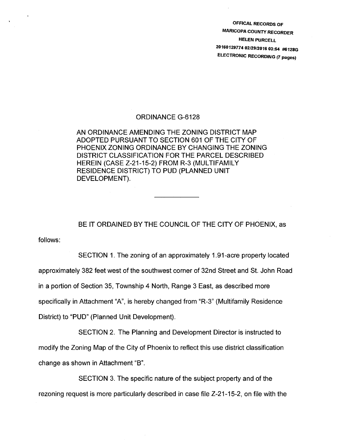OFFICAL RECORDS OF MARICOPA COUNTY RECORDER HELEN PURCELL 20160129774 02/29/2016 03:54 #6 1286 ELECTRONIC RECORDING (7 pages)

## ORDINANCE G-6128

AN ORDINANCE AMENDING THE ZONING DISTRICT MAP ADOPTED PURSUANT TO SECTION 601 OF THE CITY OF PHOENIX ZONING ORDINANCE BY CHANGING THE ZONING DISTRICT CLASSIFICATION FOR THE PARCEL DESCRIBED HEREIN (CASE Z-21-15-2) FROM R-3 (MULTIFAMILY RESIDENCE DISTRICT) TO PUD (PLANNED UNIT DEVELOPMENT).

BE IT ORDAINED BY THE COUNCIL OF THE CITY OF PHOENIX, as

follows:

SECTION 1. The zoning of an approximately 1.91-acre property located approximately 382 feet west of the southwest corner of 32nd Street and St. John Road in a portion of Section 35, Township 4 North, Range 3 East, as described more specifically in Attachment "A", is hereby changed from "R-3" (Multifamily Residence District) to "PUD" (Planned Unit Development).

SECTION 2. The Planning and Development Director is instructed to modify the Zoning Map of the City of Phoenix to reflect this use district classification change as shown in Attachment "B".

SECTION 3. The specific nature of the subject property and of the rezoning request is more particularly described in case file Z-21-15-2, on file with the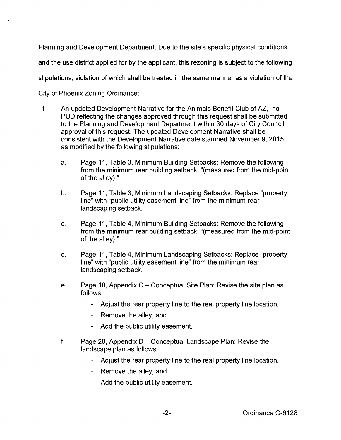Planning and Development Department. Due to the site's specific physical conditions and the use district applied for by the applicant, this rezoning is subject to the following stipulations, violation of which shall be treated in the same manner as a violation of the City of Phoenix Zoning Ordinance:

- 1. An updated Development Narrative for the Animals Benefit Club of AZ, Inc. PUD reflecting the changes approved through this request shall be submitted to the Planning and Development Department within 30 days of City Council approval of this request. The updated Development Narrative shall be consistent with the Development Narrative date stamped November 9, 2015, as modified by the following stipulations:
	- a. Page 11, Table 3, Minimum Building Setbacks: Remove the following from the minimum rear building setback: "(measured from the mid-point of the alley)."
	- b. Page 11, Table 3, Minimum Landscaping Setbacks: Replace "property line" with "public utility easement line" from the minimum rear landscaping setback.
	- c. Page 11, Table 4, Minimum Building Setbacks: Remove the following from the minimum rear building setback: "(measured from the mid-point of the alley)."
	- d. Page 11, Table 4, Minimum Landscaping Setbacks: Replace "property line" with "public utility easement line" from the minimum rear landscaping setback.
	- e. Page 18, Appendix  $C -$  Conceptual Site Plan: Revise the site plan as follows:
		- Adjust the rear property line to the real property line location,
		- Remove the alley, and  $\blacksquare$
		- Add the public utility easement.
	- f. Page 20, Appendix  $D -$  Conceptual Landscape Plan: Revise the landscape plan as follows:
		- Adjust the rear property line to the real property line location,
		- Remove the alley, and
		- Add the public utility easement.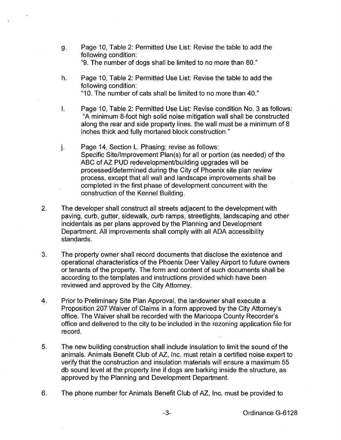- g. Page 10, Table 2: Permitted Use List: Revise the table to add the following condition: "9. The number of dogs shall be limited to no more than 80."
- h. Page 10, Table 2: Permitted Use List: Revise the table to add the following condition: "1 0. The number of cats shall be limited to no more than 40."
- I. Page 10, Table 2: Permitted Use List: Revise condition No. 3 as follows: "A minimum 8-foot high solid noise mitigation wall shall be constructed along the rear and side property lines. the wall must be a minimum of 8 inches thick and fully mortared block construction."
- j. Page 14, Section L. Phasing: revise as follows: Specific Site/Improvement Plan(s) for all or portion (as needed) of the ABC of AZ PUD redevelopment/building upgrades will be processed/determined during the City of Phoenix site plan review process, except that all wall and landscape improvements shall be completed in the first phase of development concurrent with the construction of the Kennel Building.
- 2. The developer shall construct all streets adjacent to the development with paving, curb, gutter, sidewalk, curb ramps, streetlights, landscaping and other incidentals as per plans approved by the Planning and Development Department. All improvements shall comply with all ADA accessibility standards.
- 3. The property owner shall record documents that disclose the existence and operational characteristics of the Phoenix Deer Valley Airport to future owners or tenants of the property. The form and content of such documents shall be according to the templates and instructions provided which have been reviewed and approved by the City Attorney.
- 4. Prior to Preliminary Site Plan Approval, the landowner shall execute a Proposition 207 Waiver of Claims in a form approved by the City Attorney's office. The Waiver shall be recorded with the Maricopa County Recorder's office and delivered to the city to be included in the rezoning application file for record.
- 5. The new building construction shall include insulation to limit the sound of the animals. Animals Benefit Club of AZ, Inc. must retain a certified noise expert to verify that the construction and insulation materials will ensure a maximum 55 db sound level at the property line if dogs are barking inside the structure, as approved by the Planning and Development Department.
- 6. The phone number for Animals Benefit Club of AZ, Inc. must be provided to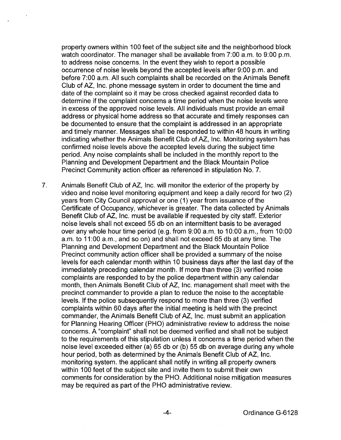property owners within 1 00 feet of the subject site and the neighborhood block watch coordinator. The manager shall be available from 7:00 a.m. to 9:00 p.m. to address noise concerns. In the event they wish to report a possible occurrence of noise levels beyond the accepted levels after 9:00 p.m. and before 7:00 a.m. All such complaints shall be recorded on the Animals Benefit Club of AZ, Inc. phone message system in order to document the time and date of the complaint so it may be cross checked against recorded data to determine if the complaint concerns a time period when the noise levels were in excess of the approved noise levels. All individuals must provide an email address or physical home address so that accurate and timely responses can be documented to ensure that the complaint is addressed in an appropriate and timely manner. Messages shall be responded to within 48 hours in writing indicating whether the Animals Benefit Club of AZ, Inc. Monitoring system has confirmed noise levels above the accepted levels during the subject time period. Any noise complaints shall be included in the monthly report to the Planning and Development Department and the Black Mountain Police Precinct Community action officer as referenced in stipulation No. 7.

7. Animals Benefit Club of AZ, Inc. will monitor the exterior of the property by video and noise level monitoring equipment and keep a daily record for two (2) years from City Council approval or one (1) year from issuance of the Certificate of Occupancy, whichever is greater. The data collected by Animals Benefit Club of AZ, Inc. must be available if requested by city staff. Exterior noise levels shall not exceed 55 db on an intermittent basis to be averaged over any whole hour time period (e.g. from 9:00 a.m. to 10:00 a.m., from 10:00 a.m. to 11:00 a.m., and so on) and shall not exceed 65 db at any time. The Planning and Development Department and the Black Mountain Police Precinct community action officer shall be provided a summary of the noise levels for each calendar month within 10 business days after the last day of the immediately preceding calendar month. If more than three (3) verified noise complaints are responded to by the police department within any calendar month, then Animals Benefit Club of AZ, Inc. management shall meet with the precinct commander to provide a plan to reduce the noise to the acceptable levels. If the police subsequently respond to more than three (3) verified complaints within 60 days after the initial meeting is held with the precinct commander, the Animals Benefit Club of AZ, Inc. must submit an application for Planning Hearing Officer (PHO) administrative review to address the noise concerns. A "complaint" shall not be deemed verified and shall not be subject to the requirements of this stipulation unless it concerns a time period when the noise level exceeded either (a) 65 db or (b) 55 db on average during any whole hour period, both as determined by the Animals Benefit Club of AZ, Inc. monitoring system. the applicant shall notify in writing all property owners within 100 feet of the subject site and invite them to submit their own comments for consideration by the PHO. Additional noise mitigation measures may be required as part of the PHO administrative review.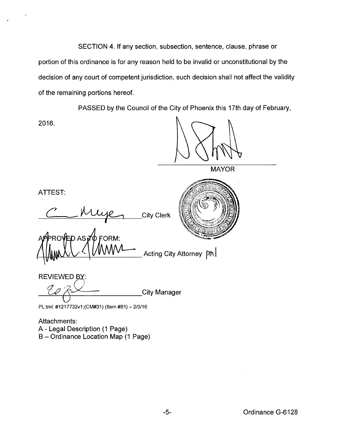SECTION 4. If any section, subsection, sentence, clause, phrase or portion of this ordinance is for any reason held to be invalid or unconstitutional by the decision of any court of competent jurisdiction, such decision shall not affect the validity of the remaining portions hereof.

PASSED by the Council of the City of Phoenix this 17th day of February,

2016.

**MAYOR** 

ATTEST:

City Clerk

PROVED AS TO FORM: Acting City Attorney  $pn$ 

REVIEWED BY:

City Manager

PL:tml: #1217732v1:(CM#31) (Item #81)- 2/3/16

Attachments: A- Legal Description (1 Page) B- Ordinance Location Map (1 Page)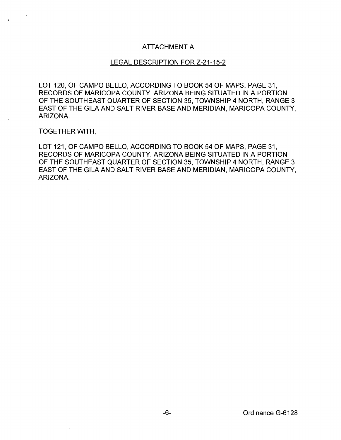## ATTACHMENT A

## LEGAL DESCRIPTION FOR Z-21-15-2

LOT 120, OF CAMPO BELLO, ACCORDING TO BOOK 54 OF MAPS, PAGE 31, RECORDS OF MARICOPA COUNTY, ARIZONA BEING SITUATED IN A PORTION OF THE SOUTHEAST QUARTER OF SECTION 35, TOWNSHIP 4 NORTH, RANGE 3 EAST OF THE GILA AND SALT RIVER BASE AND MERIDIAN, MARICOPA COUNTY, ARIZONA.

TOGETHER WITH,

LOT 121, OF CAMPO BELLO, ACCORDING TO BOOK 54 OF MAPS, PAGE 31, RECORDS OF MARICOPA COUNTY, ARIZONA BEING SITUATED IN A PORTION OF THE SOUTHEAST QUARTER OF SECTION 35, TOWNSHIP 4 NORTH, RANGE 3 EAST OF THE GILA AND SALT RIVER BASE AND MERIDIAN, MARICOPA COUNTY, ARIZONA.